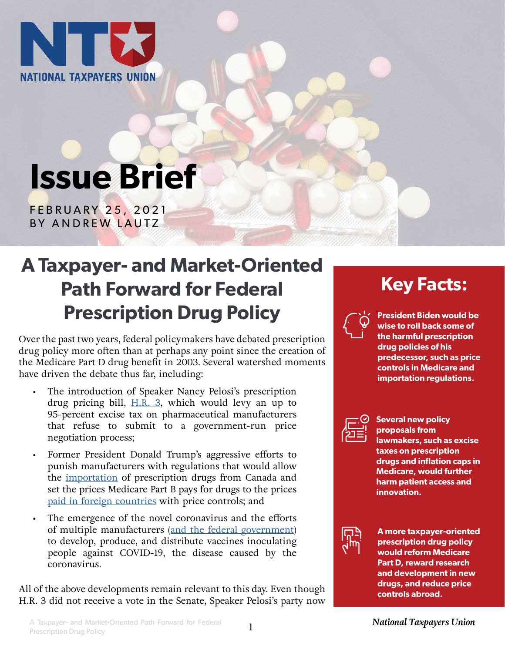

# **Issue Brief**

FEBRUARY 25, 2021 BY ANDREW LAUTZ

## **A Taxpayer- and Market-Oriented Path Forward for Federal Prescription Drug Policy**

Over the past two years, federal policymakers have debated prescription drug policy more often than at perhaps any point since the creation of the Medicare Part D drug benefit in 2003. Several watershed moments have driven the debate thus far, including:

- The introduction of Speaker Nancy Pelosi's prescription drug pricing bill,  $H.R. 3$ , which would levy an up to 95-percent excise tax on pharmaceutical manufacturers that refuse to submit to a government-run price negotiation process;
- Former President Donald Trump's aggressive efforts to punish manufacturers with regulations that would allow the [importation](https://www.ntu.org/publications/detail/prescription-drug-importation-will-help-neither-patients-nor-taxpayers) of prescription drugs from Canada and set the prices Medicare Part B pays for drugs to the prices [paid in foreign countries](https://www.ntu.org/publications/detail/cms-should-withdraw-most-favored-nation-rule) with price controls; and
- The emergence of the novel coronavirus and the efforts of multiple manufacturers ([and the federal government](https://crsreports.congress.gov/product/pdf/IN/IN11556)) to develop, produce, and distribute vaccines inoculating people against COVID-19, the disease caused by the coronavirus.

All of the above developments remain relevant to this day. Even though H.R. 3 did not receive a vote in the Senate, Speaker Pelosi's party now

### **Key Facts:**



**President Biden would be wise to roll back some of the harmful prescription drug policies of his predecessor, such as price controls in Medicare and importation regulations.**



**Several new policy proposals from lawmakers, such as excise taxes on prescription drugs and inflation caps in Medicare, would further harm patient access and innovation.**



**A more taxpayer-oriented prescription drug policy would reform Medicare Part D, reward research and development in new drugs, and reduce price controls abroad.**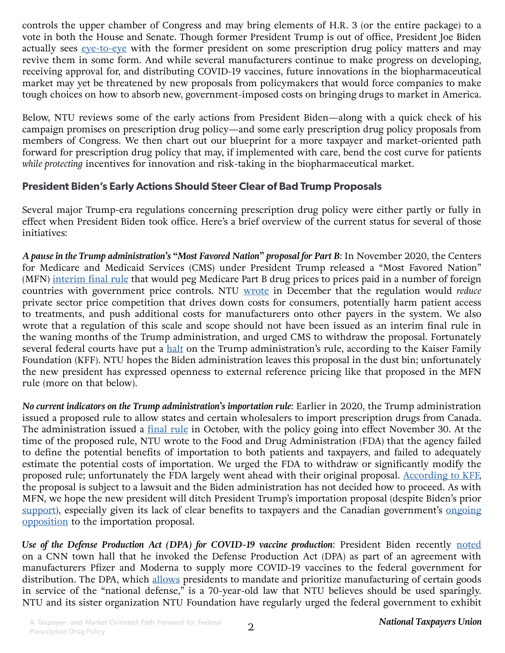controls the upper chamber of Congress and may bring elements of H.R. 3 (or the entire package) to a vote in both the House and Senate. Though former President Trump is out of office, President Joe Biden actually sees [eye-to-eye](https://www.ntu.org/publications/detail/questions-for-the-major-parties-on-their-health-care-platforms) with the former president on some prescription drug policy matters and may revive them in some form. And while several manufacturers continue to make progress on developing, receiving approval for, and distributing COVID-19 vaccines, future innovations in the biopharmaceutical market may yet be threatened by new proposals from policymakers that would force companies to make tough choices on how to absorb new, government-imposed costs on bringing drugs to market in America.

Below, NTU reviews some of the early actions from President Biden—along with a quick check of his campaign promises on prescription drug policy—and some early prescription drug policy proposals from members of Congress. We then chart out our blueprint for a more taxpayer and market-oriented path forward for prescription drug policy that may, if implemented with care, bend the cost curve for patients *while protecting* incentives for innovation and risk-taking in the biopharmaceutical market.

#### **President Biden's Early Actions Should Steer Clear of Bad Trump Proposals**

Several major Trump-era regulations concerning prescription drug policy were either partly or fully in effect when President Biden took office. Here's a brief overview of the current status for several of those initiatives:

*A pause in the Trump administration's "Most Favored Nation" proposal for Part B*: In November 2020, the Centers for Medicare and Medicaid Services (CMS) under President Trump released a "Most Favored Nation" (MFN) [interim final rule](https://www.federalregister.gov/documents/2020/11/27/2020-26037/most-favored-nation-mfn-model) that would peg Medicare Part B drug prices to prices paid in a number of foreign countries with government price controls. NTU [wrote](https://www.ntu.org/publications/detail/cms-should-withdraw-most-favored-nation-rule) in December that the regulation would *reduce* private sector price competition that drives down costs for consumers, potentially harm patient access to treatments, and push additional costs for manufacturers onto other payers in the system. We also wrote that a regulation of this scale and scope should not have been issued as an interim final rule in the waning months of the Trump administration, and urged CMS to withdraw the proposal. Fortunately several federal courts have put a [halt](https://www.kff.org/medicare/issue-brief/a-status-report-on-prescription-drug-policies-and-proposals-at-the-start-of-the-biden-administration/) on the Trump administration's rule, according to the Kaiser Family Foundation (KFF). NTU hopes the Biden administration leaves this proposal in the dust bin; unfortunately the new president has expressed openness to external reference pricing like that proposed in the MFN rule (more on that below).

*No current indicators on the Trump administration's importation rule*: Earlier in 2020, the Trump administration issued a proposed rule to allow states and certain wholesalers to import prescription drugs from Canada. The administration issued a [final rule](https://www.federalregister.gov/documents/2020/10/01/2020-21522/importation-of-prescription-drugs) in October, with the policy going into effect November 30. At the time of the proposed rule, NTU wrote to the Food and Drug Administration (FDA) that the agency failed to define the potential benefits of importation to both patients and taxpayers, and failed to adequately estimate the potential costs of importation. We urged the FDA to withdraw or significantly modify the proposed rule; unfortunately the FDA largely went ahead with their original proposal. [According to KFF](https://www.kff.org/medicare/issue-brief/a-status-report-on-prescription-drug-policies-and-proposals-at-the-start-of-the-biden-administration/), the proposal is subject to a lawsuit and the Biden administration has not decided how to proceed. As with MFN, we hope the new president will ditch President Trump's importation proposal (despite Biden's prior [support](https://www.washingtonpost.com/graphics/politics/policy-2020/medicare-for-all/drug-importation/)), especially given its lack of clear benefits to taxpayers and the Canadian government's ongoing [opposition](https://www.usnews.com/news/best-states/articles/2021-01-29/states-move-ahead-with-canada-drug-importation-while-awaiting-signal-from-biden) to the importation proposal.

*Use of the Defense Production Act (DPA) for COVID-19 vaccine production*: President Biden recently [noted](https://twitter.com/business/status/1361875038341918721)  on a CNN town hall that he invoked the Defense Production Act (DPA) as part of an agreement with manufacturers Pfizer and Moderna to supply more COVID-19 vaccines to the federal government for distribution. The DPA, which [allows](https://crsreports.congress.gov/product/pdf/IN/IN11593) presidents to mandate and prioritize manufacturing of certain goods in service of the "national defense," is a 70-year-old law that NTU believes should be used sparingly. NTU and its sister organization NTU Foundation have regularly urged the federal government to exhibit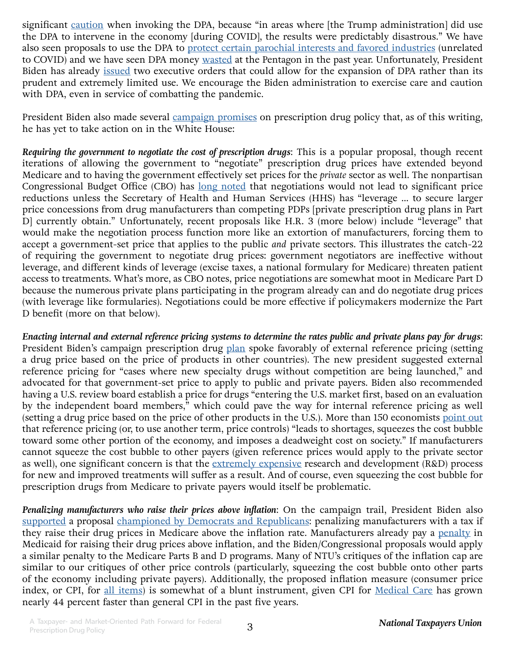significant [caution](https://www.ntu.org/foundation/detail/defense-production-act-failures-illustrate-the-folly-of-industrial-policy) when invoking the DPA, because "in areas where [the Trump administration] did use the DPA to intervene in the economy [during COVID], the results were predictably disastrous." We have also seen proposals to use the DPA to [protect certain parochial interests and favored industries](https://www.ntu.org/publications/detail/representatives-should-support-several-good-government-ndaa-amendments) (unrelated to COVID) and we have seen DPA money [wasted](https://www.ntu.org/publications/detail/ntu-39-other-groups-ask-house-committee-to-investigate-pentagon-cares-act-waste) at the Pentagon in the past year. Unfortunately, President Biden has already [issued](https://crsreports.congress.gov/product/pdf/IN/IN11593) two executive orders that could allow for the expansion of DPA rather than its prudent and extremely limited use. We encourage the Biden administration to exercise care and caution with DPA, even in service of combatting the pandemic.

President Biden also made several [campaign promises](https://joebiden.com/healthcare/) on prescription drug policy that, as of this writing, he has yet to take action on in the White House:

*Requiring the government to negotiate the cost of prescription drugs*: This is a popular proposal, though recent iterations of allowing the government to "negotiate" prescription drug prices have extended beyond Medicare and to having the government effectively set prices for the *private* sector as well. The nonpartisan Congressional Budget Office (CBO) has [long noted](https://www.cbo.gov/system/files/2019-05/55270-DrugPricesMedicare.pdf) that negotiations would not lead to significant price reductions unless the Secretary of Health and Human Services (HHS) has "leverage … to secure larger price concessions from drug manufacturers than competing PDPs [private prescription drug plans in Part D] currently obtain." Unfortunately, recent proposals like H.R. 3 (more below) include "leverage" that would make the negotiation process function more like an extortion of manufacturers, forcing them to accept a government-set price that applies to the public *and* private sectors. This illustrates the catch-22 of requiring the government to negotiate drug prices: government negotiators are ineffective without leverage, and different kinds of leverage (excise taxes, a national formulary for Medicare) threaten patient access to treatments. What's more, as CBO notes, price negotiations are somewhat moot in Medicare Part D because the numerous private plans participating in the program already can and do negotiate drug prices (with leverage like formularies). Negotiations could be more effective if policymakers modernize the Part D benefit (more on that below).

*Enacting internal and external reference pricing systems to determine the rates public and private plans pay for drugs*: President Biden's campaign prescription drug [plan](https://joebiden.com/healthcare/) spoke favorably of external reference pricing (setting a drug price based on the price of products in other countries). The new president suggested external reference pricing for "cases where new specialty drugs without competition are being launched," and advocated for that government-set price to apply to public and private payers. Biden also recommended having a U.S. review board establish a price for drugs "entering the U.S. market first, based on an evaluation by the independent board members," which could pave the way for internal reference pricing as well (setting a drug price based on the price of other products in the U.S.). More than 150 economists [point out](https://www.ntu.org/publications/page/foreign-drug-price-controls-bad-for-patients-bad-for-taxpayers)  that reference pricing (or, to use another term, price controls) "leads to shortages, squeezes the cost bubble toward some other portion of the economy, and imposes a deadweight cost on society." If manufacturers cannot squeeze the cost bubble to other payers (given reference prices would apply to the private sector as well), one significant concern is that the [extremely expensive](https://jamanetwork.com/journals/jama/fullarticle/2762311) research and development (R&D) process for new and improved treatments will suffer as a result. And of course, even squeezing the cost bubble for prescription drugs from Medicare to private payers would itself be problematic.

*Penalizing manufacturers who raise their prices above inflation*: On the campaign trail, President Biden also [supported](https://joebiden.com/healthcare/) a proposal [championed by Democrats and Republicans](https://www.ntu.org/publications/detail/senate-finance-proposal-on-drug-pricing-misses-the-mark): penalizing manufacturers with a tax if they raise their drug prices in Medicare above the inflation rate. Manufacturers already pay a [penalty](https://www.ntu.org/publications/detail/proposed-medicaid-regulation-would-present-obstacles-in-race-for-a-covid-19-cure) in Medicaid for raising their drug prices above inflation, and the Biden/Congressional proposals would apply a similar penalty to the Medicare Parts B and D programs. Many of NTU's critiques of the inflation cap are similar to our critiques of other price controls (particularly, squeezing the cost bubble onto other parts of the economy including private payers). Additionally, the proposed inflation measure (consumer price index, or CPI, for [all items](https://fred.stlouisfed.org/series/CPIAUCSL)) is somewhat of a blunt instrument, given CPI for [Medical Care](https://fred.stlouisfed.org/series/CPIMEDSL) has grown nearly 44 percent faster than general CPI in the past five years.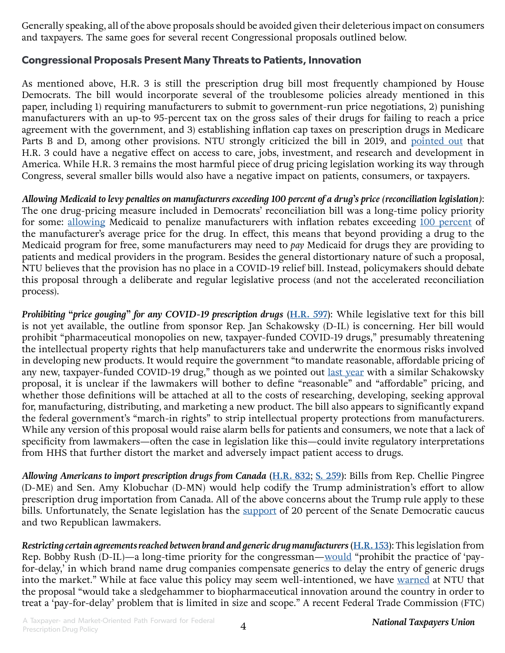Generally speaking, all of the above proposals should be avoided given their deleterious impact on consumers and taxpayers. The same goes for several recent Congressional proposals outlined below.

#### **Congressional Proposals Present Many Threats to Patients, Innovation**

As mentioned above, H.R. 3 is still the prescription drug bill most frequently championed by House Democrats. The bill would incorporate several of the troublesome policies already mentioned in this paper, including 1) requiring manufacturers to submit to government-run price negotiations, 2) punishing manufacturers with an up-to 95-percent tax on the gross sales of their drugs for failing to reach a price agreement with the government, and 3) establishing inflation cap taxes on prescription drugs in Medicare Parts B and D, among other provisions. NTU strongly criticized the bill in 2019, and [pointed out](https://www.ntu.org/publications/detail/ntu-identifies-pro-taxpayer-amendments-for-pelosi-drug-pricing-bill) that H.R. 3 could have a negative effect on access to care, jobs, investment, and research and development in America. While H.R. 3 remains the most harmful piece of drug pricing legislation working its way through Congress, several smaller bills would also have a negative impact on patients, consumers, or taxpayers.

*Allowing Medicaid to levy penalties on manufacturers exceeding 100 percent of a drug's price (reconciliation legislation)*: The one drug-pricing measure included in Democrats' reconciliation bill was a long-time policy priority for some: [allowing](https://energycommerce.house.gov/sites/democrats.energycommerce.house.gov/files/documents/FC_Markup%20Memo_2021.02.11.pdf#page=5) Medicaid to penalize manufacturers with inflation rebates exceeding [100 percent](https://www.kff.org/medicaid/issue-brief/understanding-the-medicaid-prescription-drug-rebate-program/) of the manufacturer's average price for the drug. In effect, this means that beyond providing a drug to the Medicaid program for free, some manufacturers may need to *pay* Medicaid for drugs they are providing to patients and medical providers in the program. Besides the general distortionary nature of such a proposal, NTU believes that the provision has no place in a COVID-19 relief bill. Instead, policymakers should debate this proposal through a deliberate and regular legislative process (and not the accelerated reconciliation process).

*Prohibiting "price gouging" for any COVID-19 prescription drugs* **([H.R. 597](https://www.congress.gov/bill/117th-congress/house-bill/597))**: While legislative text for this bill is not yet available, the outline from sponsor Rep. Jan Schakowsky (D-IL) is concerning. Her bill would prohibit "pharmaceutical monopolies on new, taxpayer-funded COVID-19 drugs," presumably threatening the intellectual property rights that help manufacturers take and underwrite the enormous risks involved in developing new products. It would require the government "to mandate reasonable, affordable pricing of any new, taxpayer-funded COVID-19 drug," though as we pointed out <u>[last year](https://www.ntu.org/publications/detail/progressive-principles-on-covid-19-drug-development-will-hurt-not-help-vaccine-efforts)</u> with a similar Schakowsky proposal, it is unclear if the lawmakers will bother to define "reasonable" and "affordable" pricing, and whether those definitions will be attached at all to the costs of researching, developing, seeking approval for, manufacturing, distributing, and marketing a new product. The bill also appears to significantly expand the federal government's "march-in rights" to strip intellectual property protections from manufacturers. While any version of this proposal would raise alarm bells for patients and consumers, we note that a lack of specificity from lawmakers—often the case in legislation like this—could invite regulatory interpretations from HHS that further distort the market and adversely impact patient access to drugs.

*Allowing Americans to import prescription drugs from Canada* **[\(H.R. 832](https://www.congress.gov/bill/117th-congress/house-bill/832)**; **[S. 259\)](https://www.congress.gov/bill/117th-congress/senate-bill/259)**: Bills from Rep. Chellie Pingree (D-ME) and Sen. Amy Klobuchar (D-MN) would help codify the Trump administration's effort to allow prescription drug importation from Canada. All of the above concerns about the Trump rule apply to these bills. Unfortunately, the Senate legislation has the [support](https://www.congress.gov/bill/117th-congress/senate-bill/259/cosponsors?searchResultViewType=expanded) of 20 percent of the Senate Democratic caucus and two Republican lawmakers.

*Restricting certain agreements reached between brand and generic drug manufacturers* **[\(H.R. 153](https://www.congress.gov/bill/117th-congress/house-bill/153/))**: This legislation from Rep. Bobby Rush (D-IL)—a long-time priority for the congressman—[would](https://rush.house.gov/media-center/press-releases/rush-announces-his-legislative-priorities-on-the-opening-of-the-117th) "prohibit the practice of 'payfor-delay,' in which brand name drug companies compensate generics to delay the entry of generic drugs into the market." While at face value this policy may seem well-intentioned, we have [warned](https://www.ntu.org/publications/detail/pay-for-delay-legislation-in-minnesota-would-cause-drug-problems-not-fix-them) at NTU that the proposal "would take a sledgehammer to biopharmaceutical innovation around the country in order to treat a 'pay-for-delay' problem that is limited in size and scope." A recent Federal Trade Commission (FTC)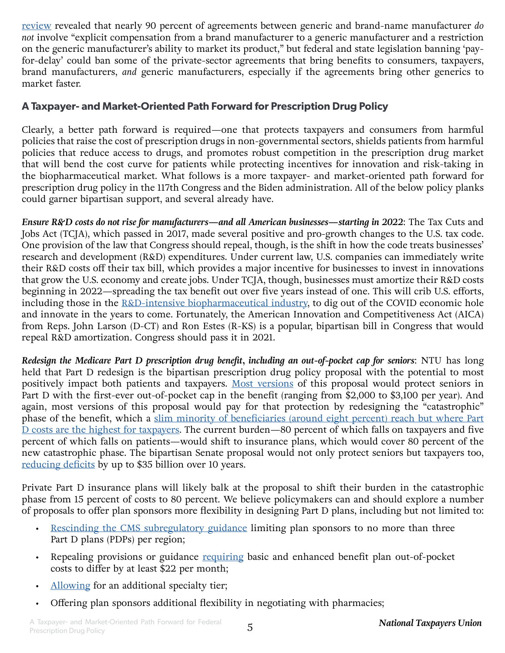[review](https://www.ftc.gov/system/files/documents/reports/agreements-filled-federal-trade-commission-under-medicare-prescription-drug-improvement/mma_report_fy2016.pdf) revealed that nearly 90 percent of agreements between generic and brand-name manufacturer *do not* involve "explicit compensation from a brand manufacturer to a generic manufacturer and a restriction on the generic manufacturer's ability to market its product," but federal and state legislation banning 'payfor-delay' could ban some of the private-sector agreements that bring benefits to consumers, taxpayers, brand manufacturers, *and* generic manufacturers, especially if the agreements bring other generics to market faster.

#### **A Taxpayer- and Market-Oriented Path Forward for Prescription Drug Policy**

Clearly, a better path forward is required—one that protects taxpayers and consumers from harmful policies that raise the cost of prescription drugs in non-governmental sectors, shields patients from harmful policies that reduce access to drugs, and promotes robust competition in the prescription drug market that will bend the cost curve for patients while protecting incentives for innovation and risk-taking in the biopharmaceutical market. What follows is a more taxpayer- and market-oriented path forward for prescription drug policy in the 117th Congress and the Biden administration. All of the below policy planks could garner bipartisan support, and several already have.

*Ensure R&D costs do not rise for manufacturers—and all American businesses—starting in 2022*: The Tax Cuts and Jobs Act (TCJA), which passed in 2017, made several positive and pro-growth changes to the U.S. tax code. One provision of the law that Congress should repeal, though, is the shift in how the code treats businesses' research and development (R&D) expenditures. Under current law, U.S. companies can immediately write their R&D costs off their tax bill, which provides a major incentive for businesses to invest in innovations that grow the U.S. economy and create jobs. Under TCJA, though, businesses must amortize their R&D costs beginning in 2022—spreading the tax benefit out over five years instead of one. This will crib U.S. efforts, including those in the [R&D-intensive biopharmaceutical industry,](https://www.strategyand.pwc.com/gx/en/insights/innovation1000.html) to dig out of the COVID economic hole and innovate in the years to come. Fortunately, the American Innovation and Competitiveness Act (AICA) from Reps. John Larson (D-CT) and Ron Estes (R-KS) is a popular, bipartisan bill in Congress that would repeal R&D amortization. Congress should pass it in 2021.

*Redesign the Medicare Part D prescription drug benefit, including an out-of-pocket cap for seniors*: NTU has long held that Part D redesign is the bipartisan prescription drug policy proposal with the potential to most positively impact both patients and taxpayers. [Most versions](https://www.americanactionforum.org/insight/update-the-many-competing-proposals-to-reform-medicare-part-d/) of this proposal would protect seniors in Part D with the first-ever out-of-pocket cap in the benefit (ranging from \$2,000 to \$3,100 per year). And again, most versions of this proposal would pay for that protection by redesigning the "catastrophic" phase of the benefit, which a slim minority of beneficiaries (around eight percent) reach but where Part [D costs are the highest for taxpayers](http://medpac.gov/docs/default-source/reports/mar19_medpac_ch14_sec.pdf?sfvrsn=0#page=29). The current burden—80 percent of which falls on taxpayers and five percent of which falls on patients—would shift to insurance plans, which would cover 80 percent of the new catastrophic phase. The bipartisan Senate proposal would not only protect seniors but taxpayers too, [reducing deficits](https://www.cbo.gov/system/files/2019-07/PDPRA_preliminary_estimate.pdf) by up to \$35 billion over 10 years.

Private Part D insurance plans will likely balk at the proposal to shift their burden in the catastrophic phase from 15 percent of costs to 80 percent. We believe policymakers can and should explore a number of proposals to offer plan sponsors more flexibility in designing Part D plans, including but not limited to:

- [Rescinding the CMS subregulatory guidance](https://docs.house.gov/meetings/WM/WM00/20191022/110137/BILLS-116-HR3-R000585-Amdt-7.pdf) limiting plan sponsors to no more than three Part D plans (PDPs) per region;
- Repealing provisions or guidance [requiring](http://medpac.gov/docs/default-source/reports/mar19_medpac_ch14_sec.pdf?sfvrsn=0#page=9) basic and enhanced benefit plan out-of-pocket costs to differ by at least \$22 per month;
- [Allowing](https://mckinley.house.gov/news/documentsingle.aspx?DocumentID=2688) for an additional specialty tier;
- Offering plan sponsors additional flexibility in negotiating with pharmacies;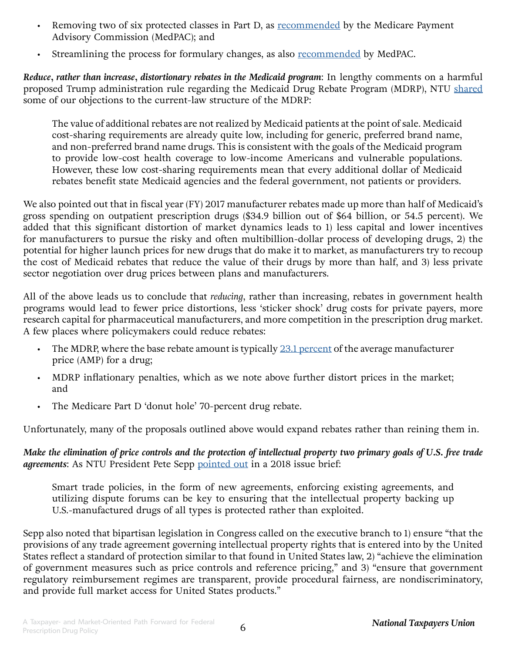- Removing two of six protected classes in Part D, as [recommended](http://www.medpac.gov/docs/default-source/reports/chapter-6-improving-medicare-part-d-june-2016-report-.pdf#page=39) by the Medicare Payment Advisory Commission (MedPAC); and
- Streamlining the process for formulary changes, as also [recommended](http://www.medpac.gov/docs/default-source/reports/chapter-6-improving-medicare-part-d-june-2016-report-.pdf#page=40) by MedPAC.

*Reduce, rather than increase, distortionary rebates in the Medicaid program*: In lengthy comments on a harmful proposed Trump administration rule regarding the Medicaid Drug Rebate Program (MDRP), NTU [shared](https://www.ntu.org/publications/detail/ntu-submits-comments-urging-cms-to-withdraw-portions-of-harmful-drug-rebate-proposal) some of our objections to the current-law structure of the MDRP:

The value of additional rebates are not realized by Medicaid patients at the point of sale. Medicaid cost-sharing requirements are already quite low, including for generic, preferred brand name, and non-preferred brand name drugs. This is consistent with the goals of the Medicaid program to provide low-cost health coverage to low-income Americans and vulnerable populations. However, these low cost-sharing requirements mean that every additional dollar of Medicaid rebates benefit state Medicaid agencies and the federal government, not patients or providers.

We also pointed out that in fiscal year (FY) 2017 manufacturer rebates made up more than half of Medicaid's gross spending on outpatient prescription drugs (\$34.9 billion out of \$64 billion, or 54.5 percent). We added that this significant distortion of market dynamics leads to 1) less capital and lower incentives for manufacturers to pursue the risky and often multibillion-dollar process of developing drugs, 2) the potential for higher launch prices for new drugs that do make it to market, as manufacturers try to recoup the cost of Medicaid rebates that reduce the value of their drugs by more than half, and 3) less private sector negotiation over drug prices between plans and manufacturers.

All of the above leads us to conclude that *reducing*, rather than increasing, rebates in government health programs would lead to fewer price distortions, less 'sticker shock' drug costs for private payers, more research capital for pharmaceutical manufacturers, and more competition in the prescription drug market. A few places where policymakers could reduce rebates:

- The MDRP, where the base rebate amount is typically [23.1 percent](https://www.medicaid.gov/medicaid/prescription-drugs/medicaid-drug-rebate-program/unit-rebate-amount-calculation/index.html) of the average manufacturer price (AMP) for a drug;
- MDRP inflationary penalties, which as we note above further distort prices in the market; and
- The Medicare Part D 'donut hole' 70-percent drug rebate.

Unfortunately, many of the proposals outlined above would expand rebates rather than reining them in.

*Make the elimination of price controls and the protection of intellectual property two primary goals of U.S. free trade agreements*: As NTU President Pete Sepp [pointed out](https://www.ntu.org/publications/detail/prescription-drug-costs-better-ways-to-help-patients-and-taxpayers) in a 2018 issue brief:

Smart trade policies, in the form of new agreements, enforcing existing agreements, and utilizing dispute forums can be key to ensuring that the intellectual property backing up U.S.-manufactured drugs of all types is protected rather than exploited.

Sepp also noted that bipartisan legislation in Congress called on the executive branch to 1) ensure "that the provisions of any trade agreement governing intellectual property rights that is entered into by the United States reflect a standard of protection similar to that found in United States law, 2) "achieve the elimination of government measures such as price controls and reference pricing," and 3) "ensure that government regulatory reimbursement regimes are transparent, provide procedural fairness, are nondiscriminatory, and provide full market access for United States products."